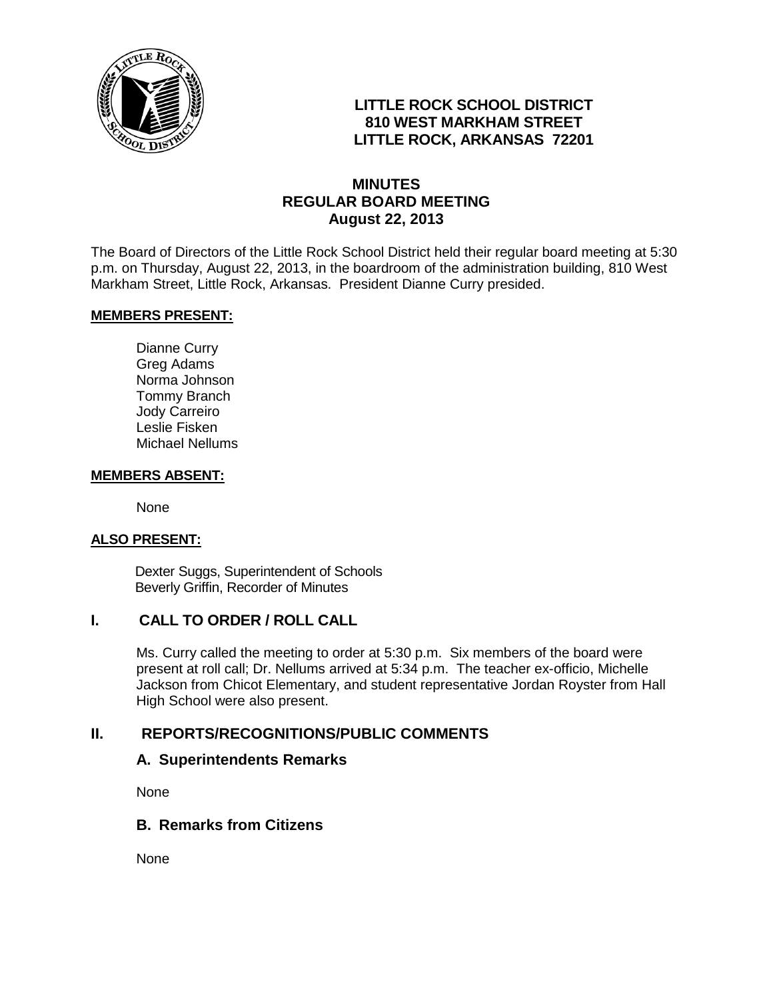

# **LITTLE ROCK SCHOOL DISTRICT 810 WEST MARKHAM STREET LITTLE ROCK, ARKANSAS 72201**

# **MINUTES REGULAR BOARD MEETING August 22, 2013**

The Board of Directors of the Little Rock School District held their regular board meeting at 5:30 p.m. on Thursday, August 22, 2013, in the boardroom of the administration building, 810 West Markham Street, Little Rock, Arkansas. President Dianne Curry presided.

#### **MEMBERS PRESENT:**

Dianne Curry Greg Adams Norma Johnson Tommy Branch Jody Carreiro Leslie Fisken Michael Nellums

#### **MEMBERS ABSENT:**

None

#### **ALSO PRESENT:**

 Dexter Suggs, Superintendent of Schools Beverly Griffin, Recorder of Minutes

## **I. CALL TO ORDER / ROLL CALL**

Ms. Curry called the meeting to order at 5:30 p.m. Six members of the board were present at roll call; Dr. Nellums arrived at 5:34 p.m. The teacher ex-officio, Michelle Jackson from Chicot Elementary, and student representative Jordan Royster from Hall High School were also present.

## **II. REPORTS/RECOGNITIONS/PUBLIC COMMENTS**

#### **A. Superintendents Remarks**

None

# **B. Remarks from Citizens**

None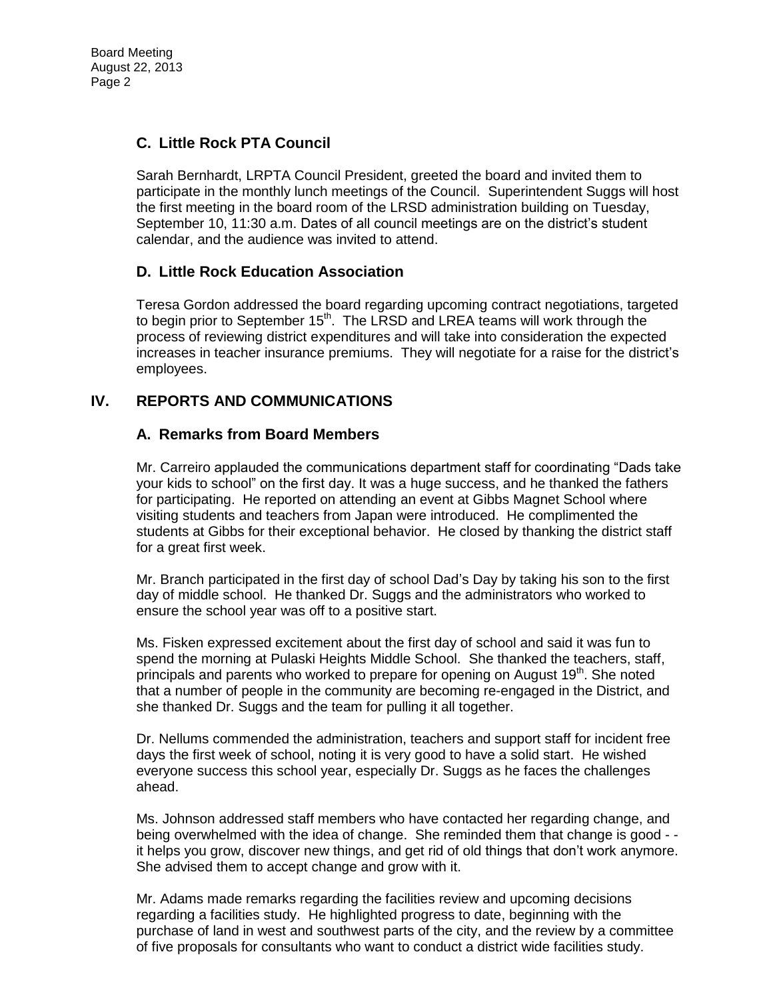# **C. Little Rock PTA Council**

Sarah Bernhardt, LRPTA Council President, greeted the board and invited them to participate in the monthly lunch meetings of the Council. Superintendent Suggs will host the first meeting in the board room of the LRSD administration building on Tuesday, September 10, 11:30 a.m. Dates of all council meetings are on the district's student calendar, and the audience was invited to attend.

## **D. Little Rock Education Association**

Teresa Gordon addressed the board regarding upcoming contract negotiations, targeted to begin prior to September 15<sup>th</sup>. The LRSD and LREA teams will work through the process of reviewing district expenditures and will take into consideration the expected increases in teacher insurance premiums. They will negotiate for a raise for the district's employees.

# **IV. REPORTS AND COMMUNICATIONS**

## **A. Remarks from Board Members**

Mr. Carreiro applauded the communications department staff for coordinating "Dads take your kids to school" on the first day. It was a huge success, and he thanked the fathers for participating. He reported on attending an event at Gibbs Magnet School where visiting students and teachers from Japan were introduced. He complimented the students at Gibbs for their exceptional behavior. He closed by thanking the district staff for a great first week.

Mr. Branch participated in the first day of school Dad's Day by taking his son to the first day of middle school. He thanked Dr. Suggs and the administrators who worked to ensure the school year was off to a positive start.

Ms. Fisken expressed excitement about the first day of school and said it was fun to spend the morning at Pulaski Heights Middle School. She thanked the teachers, staff, principals and parents who worked to prepare for opening on August  $19<sup>th</sup>$ . She noted that a number of people in the community are becoming re-engaged in the District, and she thanked Dr. Suggs and the team for pulling it all together.

Dr. Nellums commended the administration, teachers and support staff for incident free days the first week of school, noting it is very good to have a solid start. He wished everyone success this school year, especially Dr. Suggs as he faces the challenges ahead.

Ms. Johnson addressed staff members who have contacted her regarding change, and being overwhelmed with the idea of change. She reminded them that change is good - it helps you grow, discover new things, and get rid of old things that don't work anymore. She advised them to accept change and grow with it.

Mr. Adams made remarks regarding the facilities review and upcoming decisions regarding a facilities study. He highlighted progress to date, beginning with the purchase of land in west and southwest parts of the city, and the review by a committee of five proposals for consultants who want to conduct a district wide facilities study.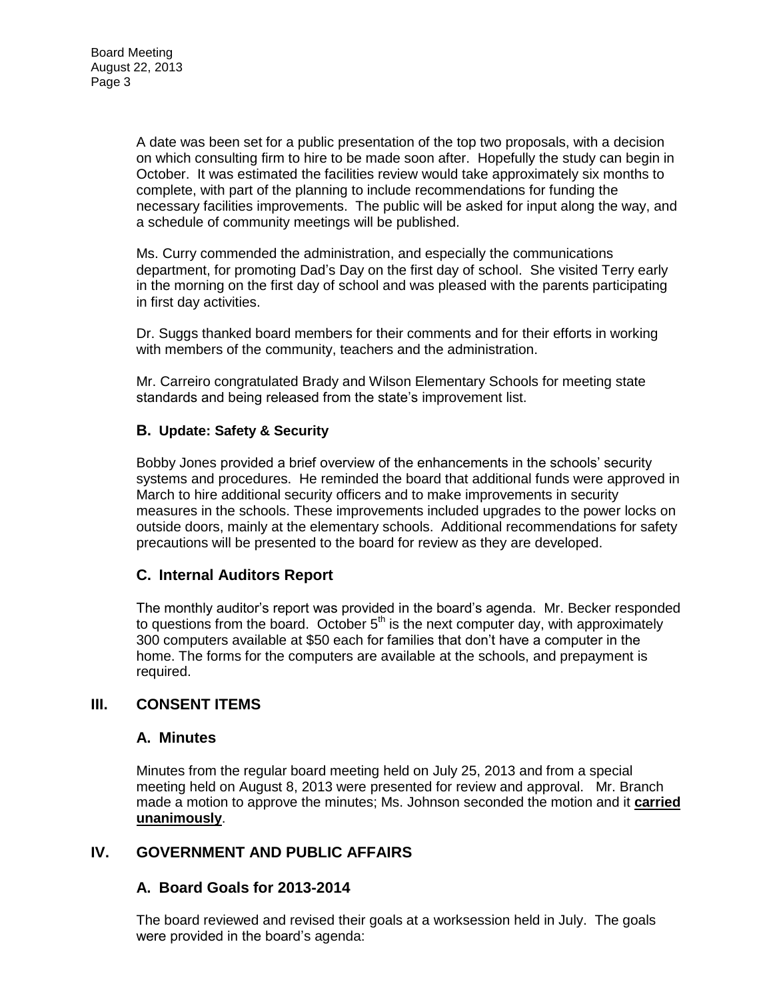A date was been set for a public presentation of the top two proposals, with a decision on which consulting firm to hire to be made soon after. Hopefully the study can begin in October. It was estimated the facilities review would take approximately six months to complete, with part of the planning to include recommendations for funding the necessary facilities improvements. The public will be asked for input along the way, and a schedule of community meetings will be published.

Ms. Curry commended the administration, and especially the communications department, for promoting Dad's Day on the first day of school. She visited Terry early in the morning on the first day of school and was pleased with the parents participating in first day activities.

Dr. Suggs thanked board members for their comments and for their efforts in working with members of the community, teachers and the administration.

Mr. Carreiro congratulated Brady and Wilson Elementary Schools for meeting state standards and being released from the state's improvement list.

#### **B. Update: Safety & Security**

Bobby Jones provided a brief overview of the enhancements in the schools' security systems and procedures. He reminded the board that additional funds were approved in March to hire additional security officers and to make improvements in security measures in the schools. These improvements included upgrades to the power locks on outside doors, mainly at the elementary schools. Additional recommendations for safety precautions will be presented to the board for review as they are developed.

## **C. Internal Auditors Report**

The monthly auditor's report was provided in the board's agenda. Mr. Becker responded to questions from the board. October  $5<sup>th</sup>$  is the next computer day, with approximately 300 computers available at \$50 each for families that don't have a computer in the home. The forms for the computers are available at the schools, and prepayment is required.

## **III. CONSENT ITEMS**

#### **A. Minutes**

Minutes from the regular board meeting held on July 25, 2013 and from a special meeting held on August 8, 2013 were presented for review and approval. Mr. Branch made a motion to approve the minutes; Ms. Johnson seconded the motion and it **carried unanimously**.

## **IV. GOVERNMENT AND PUBLIC AFFAIRS**

#### **A. Board Goals for 2013-2014**

The board reviewed and revised their goals at a worksession held in July. The goals were provided in the board's agenda: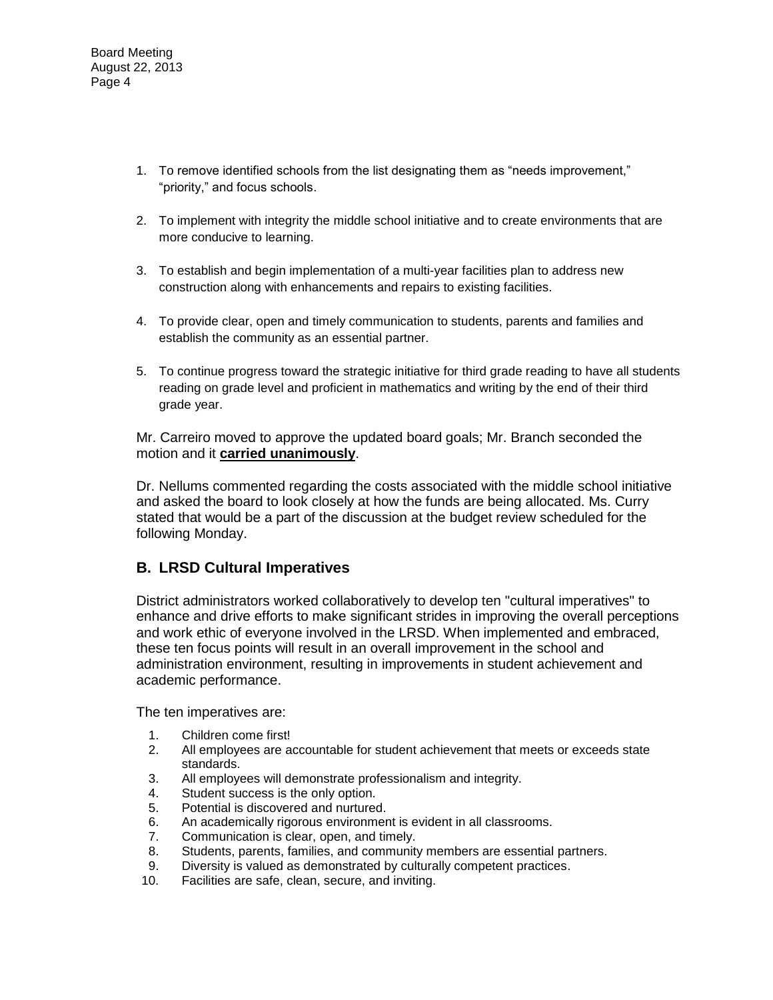- 1. To remove identified schools from the list designating them as "needs improvement," "priority," and focus schools.
- 2. To implement with integrity the middle school initiative and to create environments that are more conducive to learning.
- 3. To establish and begin implementation of a multi-year facilities plan to address new construction along with enhancements and repairs to existing facilities.
- 4. To provide clear, open and timely communication to students, parents and families and establish the community as an essential partner.
- 5. To continue progress toward the strategic initiative for third grade reading to have all students reading on grade level and proficient in mathematics and writing by the end of their third grade year.

Mr. Carreiro moved to approve the updated board goals; Mr. Branch seconded the motion and it **carried unanimously**.

Dr. Nellums commented regarding the costs associated with the middle school initiative and asked the board to look closely at how the funds are being allocated. Ms. Curry stated that would be a part of the discussion at the budget review scheduled for the following Monday.

## **B. LRSD Cultural Imperatives**

District administrators worked collaboratively to develop ten "cultural imperatives" to enhance and drive efforts to make significant strides in improving the overall perceptions and work ethic of everyone involved in the LRSD. When implemented and embraced, these ten focus points will result in an overall improvement in the school and administration environment, resulting in improvements in student achievement and academic performance.

The ten imperatives are:

- 1. Children come first!
- 2. All employees are accountable for student achievement that meets or exceeds state standards.
- 3. All employees will demonstrate professionalism and integrity.
- 4. Student success is the only option.
- 5. Potential is discovered and nurtured.
- 6. An academically rigorous environment is evident in all classrooms.
- 7. Communication is clear, open, and timely.
- 8. Students, parents, families, and community members are essential partners.
- 9. Diversity is valued as demonstrated by culturally competent practices.
- 10. Facilities are safe, clean, secure, and inviting.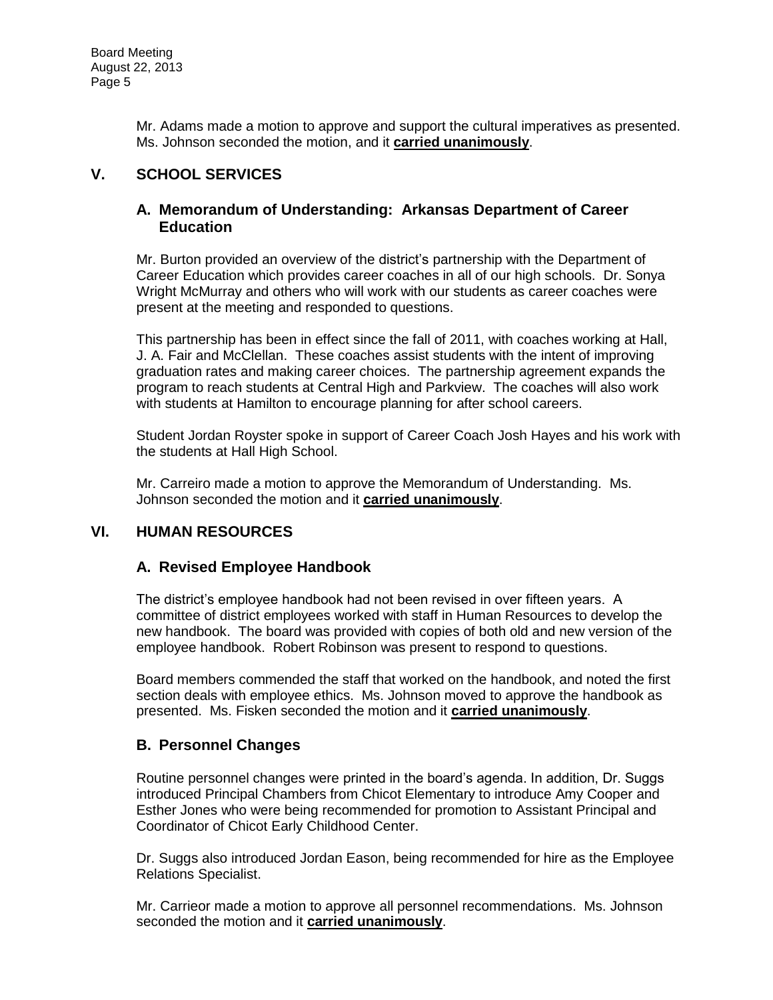Mr. Adams made a motion to approve and support the cultural imperatives as presented. Ms. Johnson seconded the motion, and it **carried unanimously**.

# **V. SCHOOL SERVICES**

#### **A. Memorandum of Understanding: Arkansas Department of Career Education**

Mr. Burton provided an overview of the district's partnership with the Department of Career Education which provides career coaches in all of our high schools. Dr. Sonya Wright McMurray and others who will work with our students as career coaches were present at the meeting and responded to questions.

This partnership has been in effect since the fall of 2011, with coaches working at Hall, J. A. Fair and McClellan. These coaches assist students with the intent of improving graduation rates and making career choices. The partnership agreement expands the program to reach students at Central High and Parkview. The coaches will also work with students at Hamilton to encourage planning for after school careers.

Student Jordan Royster spoke in support of Career Coach Josh Hayes and his work with the students at Hall High School.

Mr. Carreiro made a motion to approve the Memorandum of Understanding. Ms. Johnson seconded the motion and it **carried unanimously**.

## **VI. HUMAN RESOURCES**

## **A. Revised Employee Handbook**

The district's employee handbook had not been revised in over fifteen years. A committee of district employees worked with staff in Human Resources to develop the new handbook. The board was provided with copies of both old and new version of the employee handbook. Robert Robinson was present to respond to questions.

Board members commended the staff that worked on the handbook, and noted the first section deals with employee ethics. Ms. Johnson moved to approve the handbook as presented. Ms. Fisken seconded the motion and it **carried unanimously**.

## **B. Personnel Changes**

Routine personnel changes were printed in the board's agenda. In addition, Dr. Suggs introduced Principal Chambers from Chicot Elementary to introduce Amy Cooper and Esther Jones who were being recommended for promotion to Assistant Principal and Coordinator of Chicot Early Childhood Center.

Dr. Suggs also introduced Jordan Eason, being recommended for hire as the Employee Relations Specialist.

Mr. Carrieor made a motion to approve all personnel recommendations. Ms. Johnson seconded the motion and it **carried unanimously**.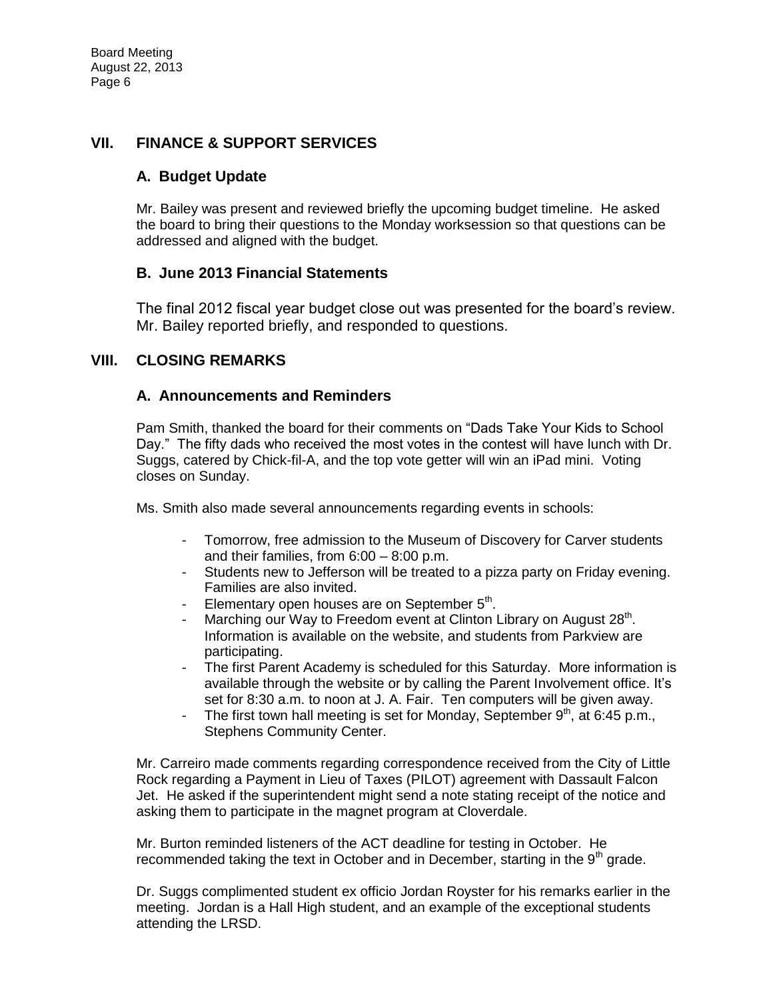## **VII. FINANCE & SUPPORT SERVICES**

#### **A. Budget Update**

Mr. Bailey was present and reviewed briefly the upcoming budget timeline. He asked the board to bring their questions to the Monday worksession so that questions can be addressed and aligned with the budget.

## **B. June 2013 Financial Statements**

The final 2012 fiscal year budget close out was presented for the board's review. Mr. Bailey reported briefly, and responded to questions.

## **VIII. CLOSING REMARKS**

## **A. Announcements and Reminders**

Pam Smith, thanked the board for their comments on "Dads Take Your Kids to School Day." The fifty dads who received the most votes in the contest will have lunch with Dr. Suggs, catered by Chick-fil-A, and the top vote getter will win an iPad mini. Voting closes on Sunday.

Ms. Smith also made several announcements regarding events in schools:

- Tomorrow, free admission to the Museum of Discovery for Carver students and their families, from 6:00 – 8:00 p.m.
- Students new to Jefferson will be treated to a pizza party on Friday evening. Families are also invited.
- Elementary open houses are on September  $5<sup>th</sup>$ .
- Marching our Way to Freedom event at Clinton Library on August 28<sup>th</sup>. Information is available on the website, and students from Parkview are participating.
- The first Parent Academy is scheduled for this Saturday. More information is available through the website or by calling the Parent Involvement office. It's set for 8:30 a.m. to noon at J. A. Fair. Ten computers will be given away.
- The first town hall meeting is set for Monday, September  $9<sup>th</sup>$ , at 6:45 p.m., Stephens Community Center.

Mr. Carreiro made comments regarding correspondence received from the City of Little Rock regarding a Payment in Lieu of Taxes (PILOT) agreement with Dassault Falcon Jet. He asked if the superintendent might send a note stating receipt of the notice and asking them to participate in the magnet program at Cloverdale.

Mr. Burton reminded listeners of the ACT deadline for testing in October. He recommended taking the text in October and in December, starting in the  $9<sup>th</sup>$  grade.

Dr. Suggs complimented student ex officio Jordan Royster for his remarks earlier in the meeting. Jordan is a Hall High student, and an example of the exceptional students attending the LRSD.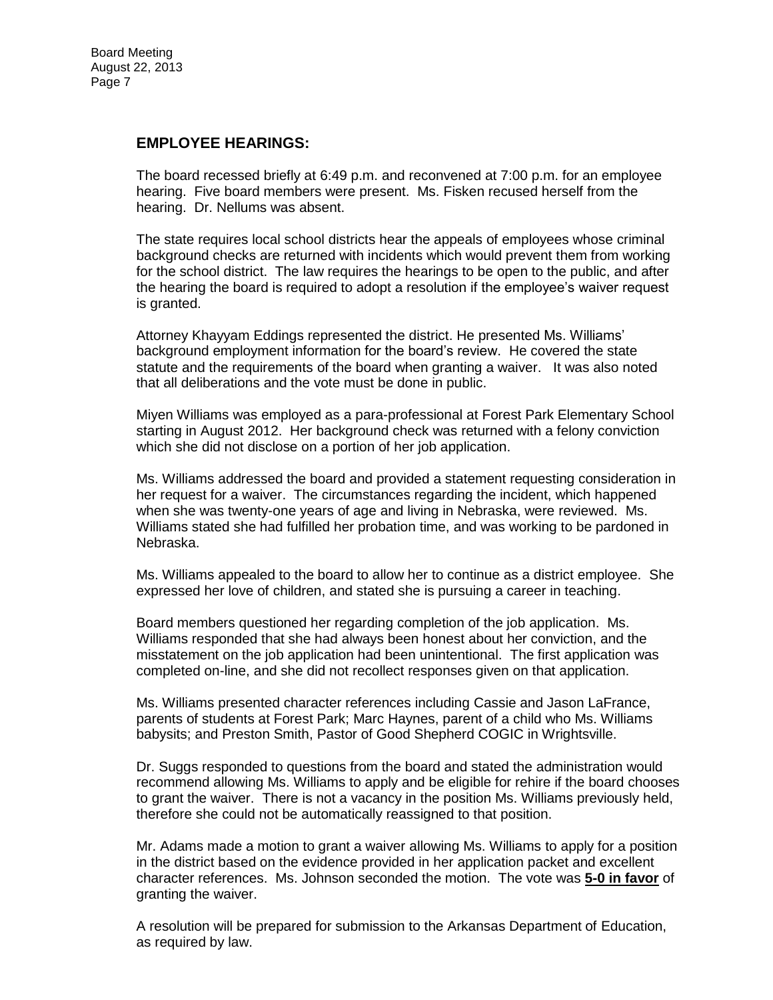#### **EMPLOYEE HEARINGS:**

The board recessed briefly at 6:49 p.m. and reconvened at 7:00 p.m. for an employee hearing. Five board members were present. Ms. Fisken recused herself from the hearing. Dr. Nellums was absent.

The state requires local school districts hear the appeals of employees whose criminal background checks are returned with incidents which would prevent them from working for the school district. The law requires the hearings to be open to the public, and after the hearing the board is required to adopt a resolution if the employee's waiver request is granted.

Attorney Khayyam Eddings represented the district. He presented Ms. Williams' background employment information for the board's review. He covered the state statute and the requirements of the board when granting a waiver. It was also noted that all deliberations and the vote must be done in public.

Miyen Williams was employed as a para-professional at Forest Park Elementary School starting in August 2012. Her background check was returned with a felony conviction which she did not disclose on a portion of her job application.

Ms. Williams addressed the board and provided a statement requesting consideration in her request for a waiver. The circumstances regarding the incident, which happened when she was twenty-one years of age and living in Nebraska, were reviewed. Ms. Williams stated she had fulfilled her probation time, and was working to be pardoned in Nebraska.

Ms. Williams appealed to the board to allow her to continue as a district employee. She expressed her love of children, and stated she is pursuing a career in teaching.

Board members questioned her regarding completion of the job application. Ms. Williams responded that she had always been honest about her conviction, and the misstatement on the job application had been unintentional. The first application was completed on-line, and she did not recollect responses given on that application.

Ms. Williams presented character references including Cassie and Jason LaFrance, parents of students at Forest Park; Marc Haynes, parent of a child who Ms. Williams babysits; and Preston Smith, Pastor of Good Shepherd COGIC in Wrightsville.

Dr. Suggs responded to questions from the board and stated the administration would recommend allowing Ms. Williams to apply and be eligible for rehire if the board chooses to grant the waiver. There is not a vacancy in the position Ms. Williams previously held, therefore she could not be automatically reassigned to that position.

Mr. Adams made a motion to grant a waiver allowing Ms. Williams to apply for a position in the district based on the evidence provided in her application packet and excellent character references. Ms. Johnson seconded the motion. The vote was **5-0 in favor** of granting the waiver.

A resolution will be prepared for submission to the Arkansas Department of Education, as required by law.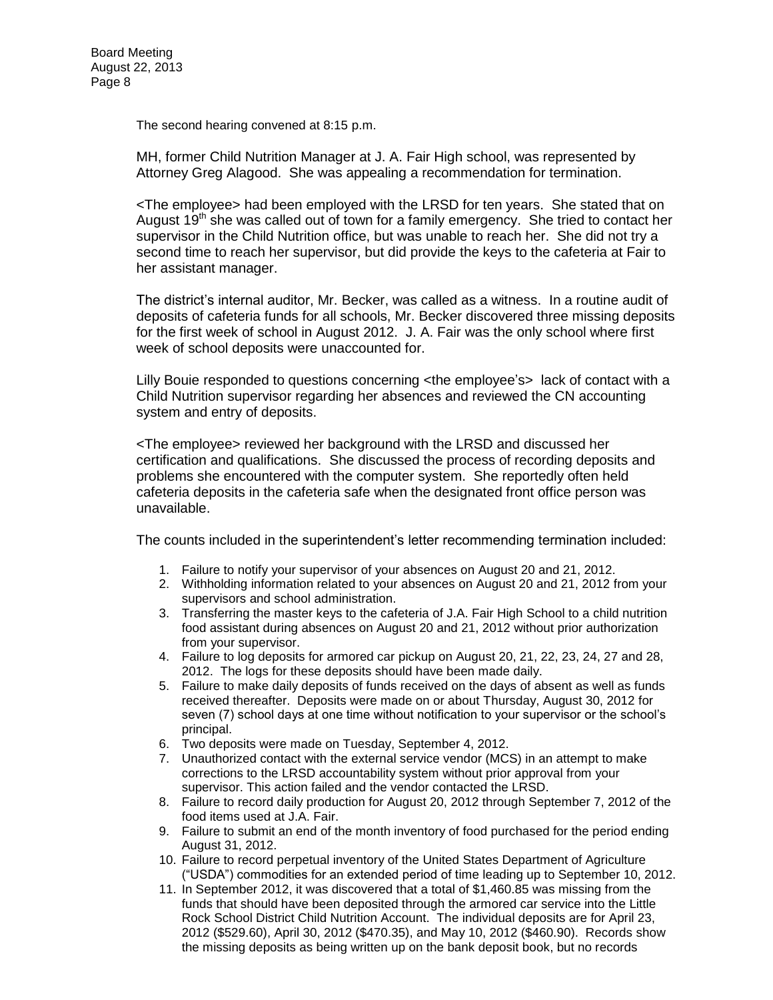The second hearing convened at 8:15 p.m.

MH, former Child Nutrition Manager at J. A. Fair High school, was represented by Attorney Greg Alagood. She was appealing a recommendation for termination.

<The employee> had been employed with the LRSD for ten years. She stated that on August 19<sup>th</sup> she was called out of town for a family emergency. She tried to contact her supervisor in the Child Nutrition office, but was unable to reach her. She did not try a second time to reach her supervisor, but did provide the keys to the cafeteria at Fair to her assistant manager.

The district's internal auditor, Mr. Becker, was called as a witness. In a routine audit of deposits of cafeteria funds for all schools, Mr. Becker discovered three missing deposits for the first week of school in August 2012. J. A. Fair was the only school where first week of school deposits were unaccounted for.

Lilly Bouie responded to questions concerning <the employee's> lack of contact with a Child Nutrition supervisor regarding her absences and reviewed the CN accounting system and entry of deposits.

<The employee> reviewed her background with the LRSD and discussed her certification and qualifications. She discussed the process of recording deposits and problems she encountered with the computer system. She reportedly often held cafeteria deposits in the cafeteria safe when the designated front office person was unavailable.

The counts included in the superintendent's letter recommending termination included:

- 1. Failure to notify your supervisor of your absences on August 20 and 21, 2012.
- 2. Withholding information related to your absences on August 20 and 21, 2012 from your supervisors and school administration.
- 3. Transferring the master keys to the cafeteria of J.A. Fair High School to a child nutrition food assistant during absences on August 20 and 21, 2012 without prior authorization from your supervisor.
- 4. Failure to log deposits for armored car pickup on August 20, 21, 22, 23, 24, 27 and 28, 2012. The logs for these deposits should have been made daily.
- 5. Failure to make daily deposits of funds received on the days of absent as well as funds received thereafter. Deposits were made on or about Thursday, August 30, 2012 for seven (7) school days at one time without notification to your supervisor or the school's principal.
- 6. Two deposits were made on Tuesday, September 4, 2012.
- 7. Unauthorized contact with the external service vendor (MCS) in an attempt to make corrections to the LRSD accountability system without prior approval from your supervisor. This action failed and the vendor contacted the LRSD.
- 8. Failure to record daily production for August 20, 2012 through September 7, 2012 of the food items used at J.A. Fair.
- 9. Failure to submit an end of the month inventory of food purchased for the period ending August 31, 2012.
- 10. Failure to record perpetual inventory of the United States Department of Agriculture ("USDA") commodities for an extended period of time leading up to September 10, 2012.
- 11. In September 2012, it was discovered that a total of \$1,460.85 was missing from the funds that should have been deposited through the armored car service into the Little Rock School District Child Nutrition Account. The individual deposits are for April 23, 2012 (\$529.60), April 30, 2012 (\$470.35), and May 10, 2012 (\$460.90). Records show the missing deposits as being written up on the bank deposit book, but no records